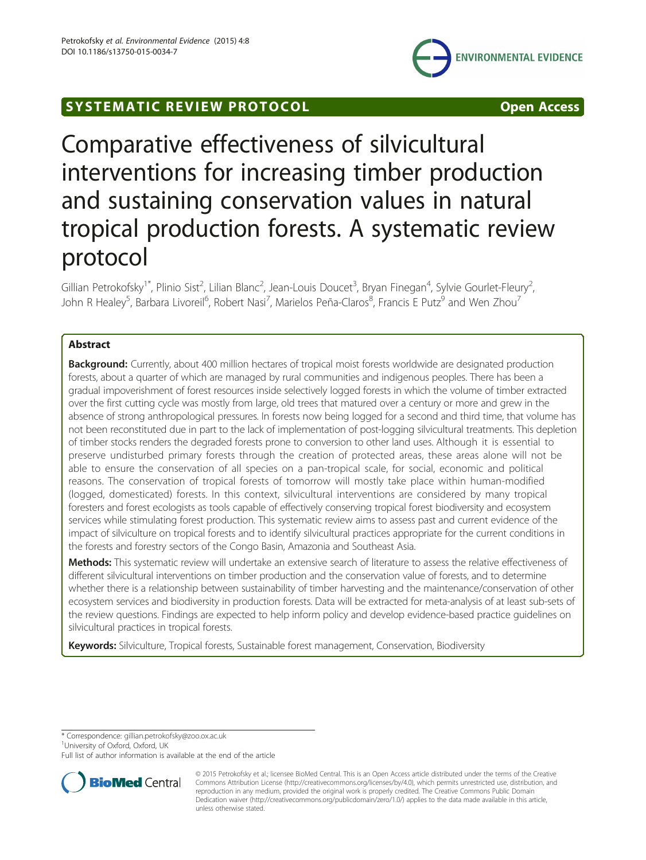



# Comparative effectiveness of silvicultural interventions for increasing timber production and sustaining conservation values in natural tropical production forests. A systematic review protocol

Gillian Petrokofsky<sup>1\*</sup>, Plinio Sist<sup>2</sup>, Lilian Blanc<sup>2</sup>, Jean-Louis Doucet<sup>3</sup>, Bryan Finegan<sup>4</sup>, Sylvie Gourlet-Fleury<sup>2</sup> , John R Healey<sup>5</sup>, Barbara Livoreil<sup>6</sup>, Robert Nasi<sup>7</sup>, Marielos Peña-Claros<sup>8</sup>, Francis E Putz<sup>9</sup> and Wen Zhou<sup>7</sup>

# Abstract

**Background:** Currently, about 400 million hectares of tropical moist forests worldwide are designated production forests, about a quarter of which are managed by rural communities and indigenous peoples. There has been a gradual impoverishment of forest resources inside selectively logged forests in which the volume of timber extracted over the first cutting cycle was mostly from large, old trees that matured over a century or more and grew in the absence of strong anthropological pressures. In forests now being logged for a second and third time, that volume has not been reconstituted due in part to the lack of implementation of post-logging silvicultural treatments. This depletion of timber stocks renders the degraded forests prone to conversion to other land uses. Although it is essential to preserve undisturbed primary forests through the creation of protected areas, these areas alone will not be able to ensure the conservation of all species on a pan-tropical scale, for social, economic and political reasons. The conservation of tropical forests of tomorrow will mostly take place within human-modified (logged, domesticated) forests. In this context, silvicultural interventions are considered by many tropical foresters and forest ecologists as tools capable of effectively conserving tropical forest biodiversity and ecosystem services while stimulating forest production. This systematic review aims to assess past and current evidence of the impact of silviculture on tropical forests and to identify silvicultural practices appropriate for the current conditions in the forests and forestry sectors of the Congo Basin, Amazonia and Southeast Asia.

Methods: This systematic review will undertake an extensive search of literature to assess the relative effectiveness of different silvicultural interventions on timber production and the conservation value of forests, and to determine whether there is a relationship between sustainability of timber harvesting and the maintenance/conservation of other ecosystem services and biodiversity in production forests. Data will be extracted for meta-analysis of at least sub-sets of the review questions. Findings are expected to help inform policy and develop evidence-based practice guidelines on silvicultural practices in tropical forests.

Keywords: Silviculture, Tropical forests, Sustainable forest management, Conservation, Biodiversity

\* Correspondence: [gillian.petrokofsky@zoo.ox.ac.uk](mailto:gillian.petrokofsky@zoo.ox.ac.uk) <sup>1</sup>

<sup>1</sup>University of Oxford, Oxford, UK

Full list of author information is available at the end of the article



<sup>© 2015</sup> Petrokofsky et al.; licensee BioMed Central. This is an Open Access article distributed under the terms of the Creative Commons Attribution License [\(http://creativecommons.org/licenses/by/4.0\)](http://creativecommons.org/licenses/by/4.0), which permits unrestricted use, distribution, and reproduction in any medium, provided the original work is properly credited. The Creative Commons Public Domain Dedication waiver [\(http://creativecommons.org/publicdomain/zero/1.0/](http://creativecommons.org/publicdomain/zero/1.0/)) applies to the data made available in this article, unless otherwise stated.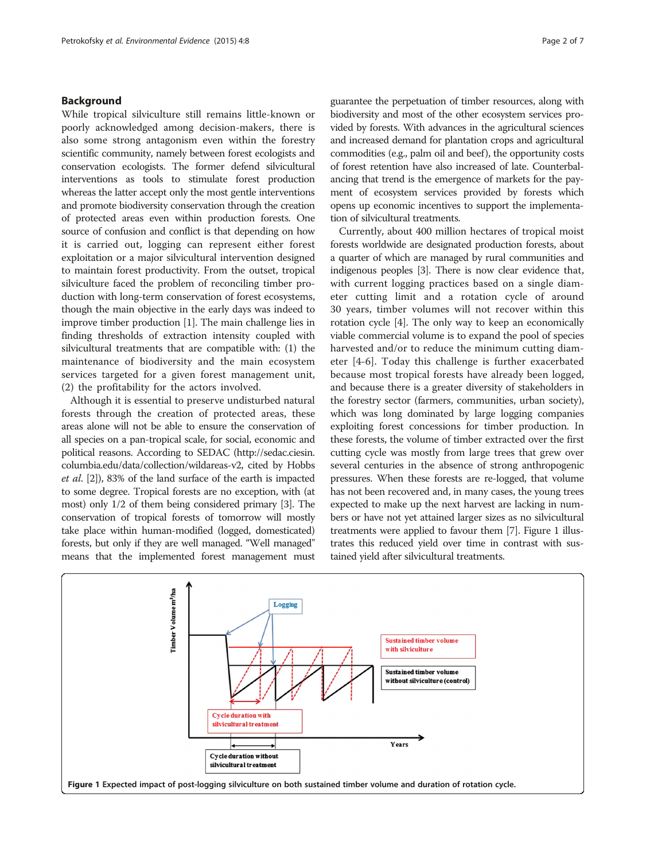# Background

While tropical silviculture still remains little-known or poorly acknowledged among decision-makers, there is also some strong antagonism even within the forestry scientific community, namely between forest ecologists and conservation ecologists. The former defend silvicultural interventions as tools to stimulate forest production whereas the latter accept only the most gentle interventions and promote biodiversity conservation through the creation of protected areas even within production forests. One source of confusion and conflict is that depending on how it is carried out, logging can represent either forest exploitation or a major silvicultural intervention designed to maintain forest productivity. From the outset, tropical silviculture faced the problem of reconciling timber production with long-term conservation of forest ecosystems, though the main objective in the early days was indeed to improve timber production [\[1](#page-6-0)]. The main challenge lies in finding thresholds of extraction intensity coupled with silvicultural treatments that are compatible with: (1) the maintenance of biodiversity and the main ecosystem services targeted for a given forest management unit, (2) the profitability for the actors involved.

Although it is essential to preserve undisturbed natural forests through the creation of protected areas, these areas alone will not be able to ensure the conservation of all species on a pan-tropical scale, for social, economic and political reasons. According to SEDAC [\(http://sedac.ciesin.](http://sedac.ciesin.columbia.edu/data/collection/wildareas-v2) [columbia.edu/data/collection/wildareas-v2](http://sedac.ciesin.columbia.edu/data/collection/wildareas-v2), cited by Hobbs et al. [[2](#page-6-0)]), 83% of the land surface of the earth is impacted to some degree. Tropical forests are no exception, with (at most) only 1/2 of them being considered primary [[3](#page-6-0)]. The conservation of tropical forests of tomorrow will mostly take place within human-modified (logged, domesticated) forests, but only if they are well managed. "Well managed" means that the implemented forest management must

guarantee the perpetuation of timber resources, along with biodiversity and most of the other ecosystem services provided by forests. With advances in the agricultural sciences and increased demand for plantation crops and agricultural commodities (e.g., palm oil and beef ), the opportunity costs of forest retention have also increased of late. Counterbalancing that trend is the emergence of markets for the payment of ecosystem services provided by forests which opens up economic incentives to support the implementation of silvicultural treatments.

Currently, about 400 million hectares of tropical moist forests worldwide are designated production forests, about a quarter of which are managed by rural communities and indigenous peoples [[3](#page-6-0)]. There is now clear evidence that, with current logging practices based on a single diameter cutting limit and a rotation cycle of around 30 years, timber volumes will not recover within this rotation cycle [[4](#page-6-0)]. The only way to keep an economically viable commercial volume is to expand the pool of species harvested and/or to reduce the minimum cutting diameter [\[4](#page-6-0)-[6](#page-6-0)]. Today this challenge is further exacerbated because most tropical forests have already been logged, and because there is a greater diversity of stakeholders in the forestry sector (farmers, communities, urban society), which was long dominated by large logging companies exploiting forest concessions for timber production. In these forests, the volume of timber extracted over the first cutting cycle was mostly from large trees that grew over several centuries in the absence of strong anthropogenic pressures. When these forests are re-logged, that volume has not been recovered and, in many cases, the young trees expected to make up the next harvest are lacking in numbers or have not yet attained larger sizes as no silvicultural treatments were applied to favour them [\[7\]](#page-6-0). Figure 1 illustrates this reduced yield over time in contrast with sustained yield after silvicultural treatments.

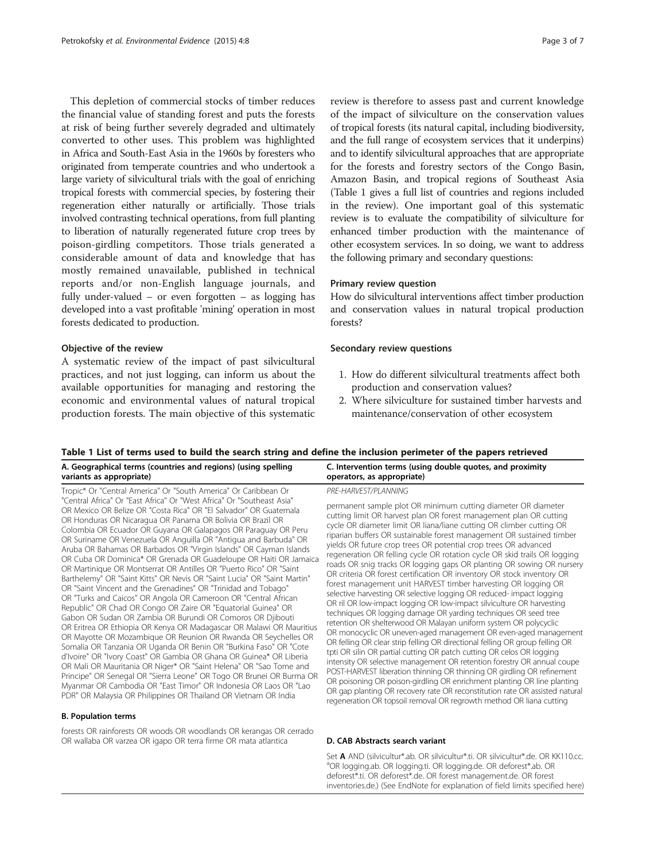<span id="page-2-0"></span>This depletion of commercial stocks of timber reduces the financial value of standing forest and puts the forests at risk of being further severely degraded and ultimately converted to other uses. This problem was highlighted in Africa and South-East Asia in the 1960s by foresters who originated from temperate countries and who undertook a large variety of silvicultural trials with the goal of enriching tropical forests with commercial species, by fostering their regeneration either naturally or artificially. Those trials involved contrasting technical operations, from full planting to liberation of naturally regenerated future crop trees by poison-girdling competitors. Those trials generated a considerable amount of data and knowledge that has mostly remained unavailable, published in technical reports and/or non-English language journals, and fully under-valued – or even forgotten – as logging has developed into a vast profitable 'mining' operation in most forests dedicated to production.

#### Objective of the review

A systematic review of the impact of past silvicultural practices, and not just logging, can inform us about the available opportunities for managing and restoring the economic and environmental values of natural tropical production forests. The main objective of this systematic review is therefore to assess past and current knowledge of the impact of silviculture on the conservation values of tropical forests (its natural capital, including biodiversity, and the full range of ecosystem services that it underpins) and to identify silvicultural approaches that are appropriate for the forests and forestry sectors of the Congo Basin, Amazon Basin, and tropical regions of Southeast Asia (Table 1 gives a full list of countries and regions included in the review). One important goal of this systematic review is to evaluate the compatibility of silviculture for enhanced timber production with the maintenance of other ecosystem services. In so doing, we want to address the following primary and secondary questions:

# Primary review question

How do silvicultural interventions affect timber production and conservation values in natural tropical production forests?

# Secondary review questions

- 1. How do different silvicultural treatments affect both production and conservation values?
- 2. Where silviculture for sustained timber harvests and maintenance/conservation of other ecosystem

#### Table 1 List of terms used to build the search string and define the inclusion perimeter of the papers retrieved

| A. Geographical terms (countries and regions) (using spelling                                                                                                                                                                                                                                                                                                                                                                                                                                                                                                                                                                                                                                                                                                                                                                                                                                                                                                                                                                                                                                                                                                                                                                                                                                                                                                                                                                                                                               | C. Intervention terms (using double quotes, and proximity                                                                                                                                                                                                                                                                                                                                                                                                                                                                                                                                                                                                                                                                                                                                                                                                                                                                                                                                                                                                                                                                                                                                                                                                                                                                                                                                                                            |
|---------------------------------------------------------------------------------------------------------------------------------------------------------------------------------------------------------------------------------------------------------------------------------------------------------------------------------------------------------------------------------------------------------------------------------------------------------------------------------------------------------------------------------------------------------------------------------------------------------------------------------------------------------------------------------------------------------------------------------------------------------------------------------------------------------------------------------------------------------------------------------------------------------------------------------------------------------------------------------------------------------------------------------------------------------------------------------------------------------------------------------------------------------------------------------------------------------------------------------------------------------------------------------------------------------------------------------------------------------------------------------------------------------------------------------------------------------------------------------------------|--------------------------------------------------------------------------------------------------------------------------------------------------------------------------------------------------------------------------------------------------------------------------------------------------------------------------------------------------------------------------------------------------------------------------------------------------------------------------------------------------------------------------------------------------------------------------------------------------------------------------------------------------------------------------------------------------------------------------------------------------------------------------------------------------------------------------------------------------------------------------------------------------------------------------------------------------------------------------------------------------------------------------------------------------------------------------------------------------------------------------------------------------------------------------------------------------------------------------------------------------------------------------------------------------------------------------------------------------------------------------------------------------------------------------------------|
| variants as appropriate)                                                                                                                                                                                                                                                                                                                                                                                                                                                                                                                                                                                                                                                                                                                                                                                                                                                                                                                                                                                                                                                                                                                                                                                                                                                                                                                                                                                                                                                                    | operators, as appropriate)                                                                                                                                                                                                                                                                                                                                                                                                                                                                                                                                                                                                                                                                                                                                                                                                                                                                                                                                                                                                                                                                                                                                                                                                                                                                                                                                                                                                           |
| Tropic* Or "Central America" Or "South America" Or Caribbean Or<br>"Central Africa" Or "East Africa" Or "West Africa" Or "Southeast Asia"<br>OR Mexico OR Belize OR "Costa Rica" OR "El Salvador" OR Guatemala<br>OR Honduras OR Nicaragua OR Panama OR Bolivia OR Brazil OR<br>Colombia OR Ecuador OR Guyana OR Galapagos OR Paraguay OR Peru<br>OR Suriname OR Venezuela OR Anguilla OR "Antigua and Barbuda" OR<br>Aruba OR Bahamas OR Barbados OR "Virgin Islands" OR Cayman Islands<br>OR Cuba OR Dominica* OR Grenada OR Guadeloupe OR Haiti OR Jamaica<br>OR Martinique OR Montserrat OR Antilles OR "Puerto Rico" OR "Saint<br>Barthelemy" OR "Saint Kitts" OR Nevis OR "Saint Lucia" OR "Saint Martin"<br>OR "Saint Vincent and the Grenadines" OR "Trinidad and Tobago"<br>OR "Turks and Caicos" OR Angola OR Cameroon OR "Central African<br>Republic" OR Chad OR Congo OR Zaire OR "Equatorial Guinea" OR<br>Gabon OR Sudan OR Zambia OR Burundi OR Comoros OR Djibouti<br>OR Eritrea OR Ethiopia OR Kenya OR Madagascar OR Malawi OR Mauritius<br>OR Mayotte OR Mozambique OR Reunion OR Rwanda OR Seychelles OR<br>Somalia OR Tanzania OR Uganda OR Benin OR "Burkina Faso" OR "Cote<br>d'Ivoire" OR "Ivory Coast" OR Gambia OR Ghana OR Guinea* OR Liberia<br>OR Mali OR Mauritania OR Niger* OR "Saint Helena" OR "Sao Tome and<br>Principe" OR Senegal OR "Sierra Leone" OR Togo OR Brunei OR Burma OR<br>Myanmar OR Cambodia OR "East Timor" OR Indonesia OR Laos OR "Lao | PRE-HARVEST/PLANNING<br>permanent sample plot OR minimum cutting diameter OR diameter<br>cutting limit OR harvest plan OR forest management plan OR cutting<br>cycle OR diameter limit OR liana/liane cutting OR climber cutting OR<br>riparian buffers OR sustainable forest management OR sustained timber<br>yields OR future crop trees OR potential crop trees OR advanced<br>regeneration OR felling cycle OR rotation cycle OR skid trails OR logging<br>roads OR snig tracks OR logging gaps OR planting OR sowing OR nursery<br>OR criteria OR forest certification OR inventory OR stock inventory OR<br>forest management unit HARVEST timber harvesting OR logging OR<br>selective harvesting OR selective logging OR reduced-impact logging<br>OR ril OR low-impact logging OR low-impact silviculture OR harvesting<br>techniques OR logging damage OR yarding techniques OR seed tree<br>retention OR shelterwood OR Malayan uniform system OR polycyclic<br>OR monocyclic OR uneven-aged management OR even-aged management<br>OR felling OR clear strip felling OR directional felling OR group felling OR<br>tpti OR silin OR partial cutting OR patch cutting OR celos OR logging<br>intensity OR selective management OR retention forestry OR annual coupe<br>POST-HARVEST liberation thinning OR thinning OR girdling OR refinement<br>OR poisoning OR poison-girdling OR enrichment planting OR line planting |

#### B. Population terms

forests OR rainforests OR woods OR woodlands OR kerangas OR cerrado OR wallaba OR varzea OR igapo OR terra firme OR mata atlantica **D. CAB Abstracts search variant** 

Set A AND (silvicultur\*.ab. OR silvicultur\*.ti. OR silvicultur\*.de. OR KK110.cc. <sup>a</sup>OR logging.ab. OR logging.ti. OR logging.de. OR deforest\*.ab. OR deforest\*.ti. OR deforest\*.de. OR forest management.de. OR forest inventories.de.) (See EndNote for explanation of field limits specified here)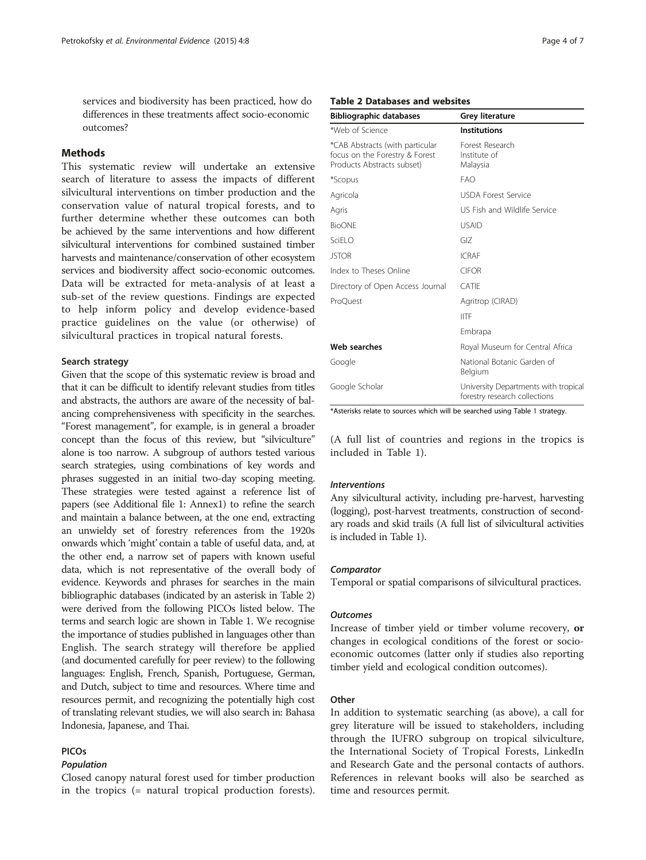<span id="page-3-0"></span>services and biodiversity has been practiced, how do differences in these treatments affect socio-economic outcomes?

# **Methods**

This systematic review will undertake an extensive search of literature to assess the impacts of different silvicultural interventions on timber production and the conservation value of natural tropical forests, and to further determine whether these outcomes can both be achieved by the same interventions and how different silvicultural interventions for combined sustained timber harvests and maintenance/conservation of other ecosystem services and biodiversity affect socio-economic outcomes. Data will be extracted for meta-analysis of at least a sub-set of the review questions. Findings are expected to help inform policy and develop evidence-based practice guidelines on the value (or otherwise) of silvicultural practices in tropical natural forests.

# Search strategy

Given that the scope of this systematic review is broad and that it can be difficult to identify relevant studies from titles and abstracts, the authors are aware of the necessity of balancing comprehensiveness with specificity in the searches. "Forest management", for example, is in general a broader concept than the focus of this review, but "silviculture" alone is too narrow. A subgroup of authors tested various search strategies, using combinations of key words and phrases suggested in an initial two-day scoping meeting. These strategies were tested against a reference list of papers (see Additional file [1](#page-6-0): Annex1) to refine the search and maintain a balance between, at the one end, extracting an unwieldy set of forestry references from the 1920s onwards which 'might' contain a table of useful data, and, at the other end, a narrow set of papers with known useful data, which is not representative of the overall body of evidence. Keywords and phrases for searches in the main bibliographic databases (indicated by an asterisk in Table 2) were derived from the following PICOs listed below. The terms and search logic are shown in Table [1.](#page-2-0) We recognise the importance of studies published in languages other than English. The search strategy will therefore be applied (and documented carefully for peer review) to the following languages: English, French, Spanish, Portuguese, German, and Dutch, subject to time and resources. Where time and resources permit, and recognizing the potentially high cost of translating relevant studies, we will also search in: Bahasa Indonesia, Japanese, and Thai.

# PICOs

# Population

Closed canopy natural forest used for timber production in the tropics (= natural tropical production forests).

# Table 2 Databases and websites

| <b>Bibliographic databases</b>                                                                  | <b>Grey literature</b>                                                |
|-------------------------------------------------------------------------------------------------|-----------------------------------------------------------------------|
| *Web of Science                                                                                 | <b>Institutions</b>                                                   |
| *CAB Abstracts (with particular<br>focus on the Forestry & Forest<br>Products Abstracts subset) | Forest Research<br>Institute of<br>Malaysia                           |
| *Scopus                                                                                         | FAO.                                                                  |
| Agricola                                                                                        | <b>USDA Forest Service</b>                                            |
| Agris                                                                                           | US Fish and Wildlife Service                                          |
| <b>BioONF</b>                                                                                   | <b>USAID</b>                                                          |
| SciEl O                                                                                         | GIZ                                                                   |
| <b>JSTOR</b>                                                                                    | <b>ICRAF</b>                                                          |
| Index to Theses Online                                                                          | <b>CIFOR</b>                                                          |
| Directory of Open Access Journal                                                                | CATIF                                                                 |
| ProQuest                                                                                        | Agritrop (CIRAD)                                                      |
|                                                                                                 | <b>IITF</b>                                                           |
|                                                                                                 | Embrapa                                                               |
| Web searches                                                                                    | Royal Museum for Central Africa                                       |
| Google                                                                                          | National Botanic Garden of<br>Belgium                                 |
| Google Scholar                                                                                  | University Departments with tropical<br>forestry research collections |

\*Asterisks relate to sources which will be searched using Table [1](#page-2-0) strategy.

(A full list of countries and regions in the tropics is included in Table [1\)](#page-2-0).

#### Interventions

Any silvicultural activity, including pre-harvest, harvesting (logging), post-harvest treatments, construction of secondary roads and skid trails (A full list of silvicultural activities is included in Table [1](#page-2-0)).

#### **Comparator**

Temporal or spatial comparisons of silvicultural practices.

#### **Outcomes**

Increase of timber yield or timber volume recovery, or changes in ecological conditions of the forest or socioeconomic outcomes (latter only if studies also reporting timber yield and ecological condition outcomes).

# **Other**

In addition to systematic searching (as above), a call for grey literature will be issued to stakeholders, including through the IUFRO subgroup on tropical silviculture, the International Society of Tropical Forests, LinkedIn and Research Gate and the personal contacts of authors. References in relevant books will also be searched as time and resources permit.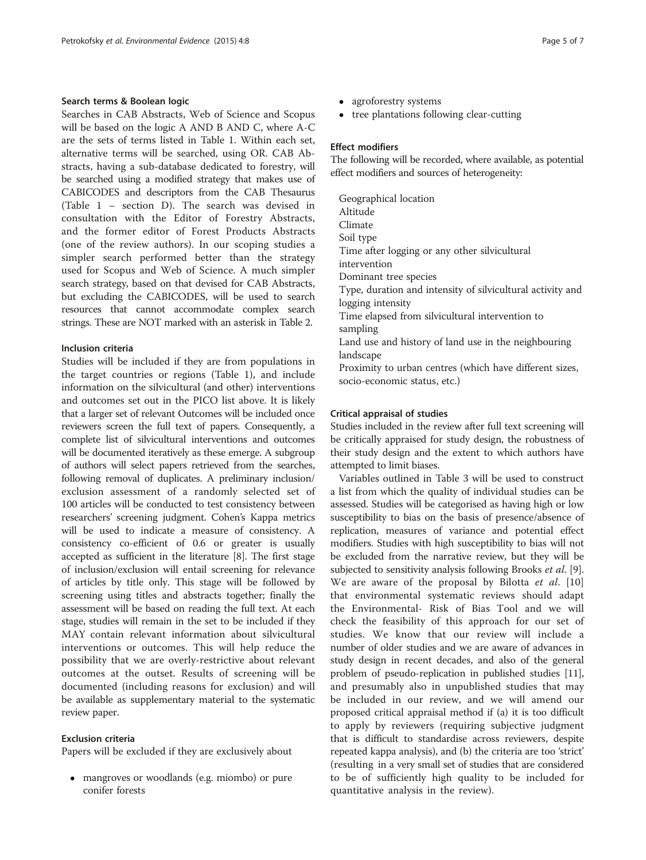# Search terms & Boolean logic

Searches in CAB Abstracts, Web of Science and Scopus will be based on the logic A AND B AND C, where A-C are the sets of terms listed in Table [1.](#page-2-0) Within each set, alternative terms will be searched, using OR. CAB Abstracts, having a sub-database dedicated to forestry, will be searched using a modified strategy that makes use of CABICODES and descriptors from the CAB Thesaurus (Table [1](#page-2-0) – section D). The search was devised in consultation with the Editor of Forestry Abstracts, and the former editor of Forest Products Abstracts (one of the review authors). In our scoping studies a simpler search performed better than the strategy used for Scopus and Web of Science. A much simpler search strategy, based on that devised for CAB Abstracts, but excluding the CABICODES, will be used to search resources that cannot accommodate complex search strings. These are NOT marked with an asterisk in Table [2](#page-3-0).

# Inclusion criteria

Studies will be included if they are from populations in the target countries or regions (Table [1](#page-2-0)), and include information on the silvicultural (and other) interventions and outcomes set out in the PICO list above. It is likely that a larger set of relevant Outcomes will be included once reviewers screen the full text of papers. Consequently, a complete list of silvicultural interventions and outcomes will be documented iteratively as these emerge. A subgroup of authors will select papers retrieved from the searches, following removal of duplicates. A preliminary inclusion/ exclusion assessment of a randomly selected set of 100 articles will be conducted to test consistency between researchers' screening judgment. Cohen's Kappa metrics will be used to indicate a measure of consistency. A consistency co-efficient of 0.6 or greater is usually accepted as sufficient in the literature [\[8\]](#page-6-0). The first stage of inclusion/exclusion will entail screening for relevance of articles by title only. This stage will be followed by screening using titles and abstracts together; finally the assessment will be based on reading the full text. At each stage, studies will remain in the set to be included if they MAY contain relevant information about silvicultural interventions or outcomes. This will help reduce the possibility that we are overly-restrictive about relevant outcomes at the outset. Results of screening will be documented (including reasons for exclusion) and will be available as supplementary material to the systematic review paper.

# Exclusion criteria

Papers will be excluded if they are exclusively about

 mangroves or woodlands (e.g. miombo) or pure conifer forests

- agroforestry systems
- tree plantations following clear-cutting

# Effect modifiers

The following will be recorded, where available, as potential effect modifiers and sources of heterogeneity:

Geographical location Altitude Climate Soil type Time after logging or any other silvicultural intervention Dominant tree species Type, duration and intensity of silvicultural activity and logging intensity Time elapsed from silvicultural intervention to sampling Land use and history of land use in the neighbouring landscape Proximity to urban centres (which have different sizes, socio-economic status, etc.)

# Critical appraisal of studies

Studies included in the review after full text screening will be critically appraised for study design, the robustness of their study design and the extent to which authors have attempted to limit biases.

Variables outlined in Table [3](#page-5-0) will be used to construct a list from which the quality of individual studies can be assessed. Studies will be categorised as having high or low susceptibility to bias on the basis of presence/absence of replication, measures of variance and potential effect modifiers. Studies with high susceptibility to bias will not be excluded from the narrative review, but they will be subjected to sensitivity analysis following Brooks *et al.* [\[9](#page-6-0)]. We are aware of the proposal by Bilotta et al. [\[10](#page-6-0)] that environmental systematic reviews should adapt the Environmental- Risk of Bias Tool and we will check the feasibility of this approach for our set of studies. We know that our review will include a number of older studies and we are aware of advances in study design in recent decades, and also of the general problem of pseudo-replication in published studies [[11](#page-6-0)], and presumably also in unpublished studies that may be included in our review, and we will amend our proposed critical appraisal method if (a) it is too difficult to apply by reviewers (requiring subjective judgment that is difficult to standardise across reviewers, despite repeated kappa analysis), and (b) the criteria are too 'strict' (resulting in a very small set of studies that are considered to be of sufficiently high quality to be included for quantitative analysis in the review).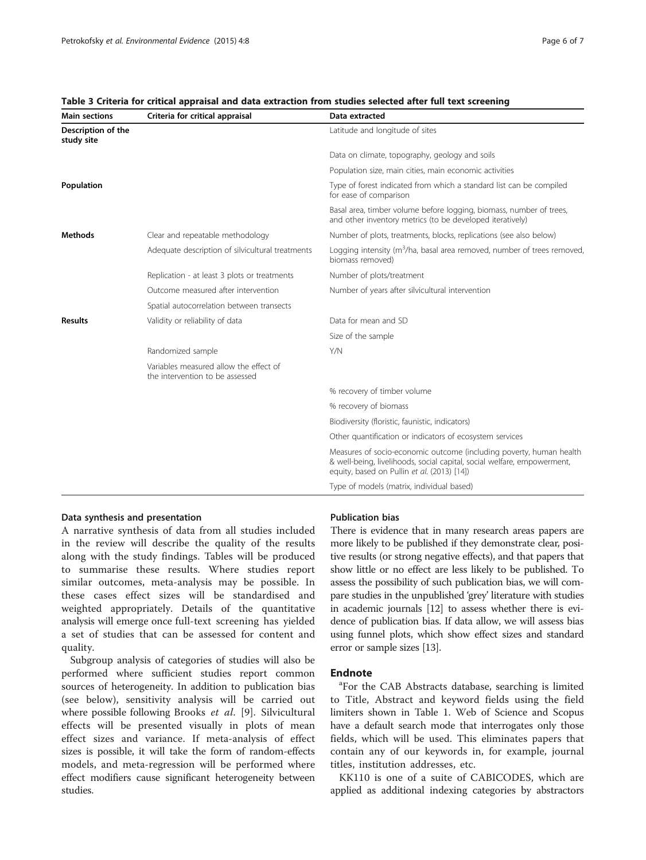| <b>Main sections</b>             | Criteria for critical appraisal                                                                | Data extracted                                                                                                                                                                                |
|----------------------------------|------------------------------------------------------------------------------------------------|-----------------------------------------------------------------------------------------------------------------------------------------------------------------------------------------------|
| Description of the<br>study site |                                                                                                | Latitude and longitude of sites                                                                                                                                                               |
|                                  |                                                                                                | Data on climate, topography, geology and soils                                                                                                                                                |
|                                  |                                                                                                | Population size, main cities, main economic activities                                                                                                                                        |
| Population                       |                                                                                                | Type of forest indicated from which a standard list can be compiled<br>for ease of comparison                                                                                                 |
|                                  |                                                                                                | Basal area, timber volume before logging, biomass, number of trees,<br>and other inventory metrics (to be developed iteratively)                                                              |
| <b>Methods</b>                   | Clear and repeatable methodology                                                               | Number of plots, treatments, blocks, replications (see also below)                                                                                                                            |
|                                  | Adequate description of silvicultural treatments                                               | Logging intensity ( $m^3/ha$ , basal area removed, number of trees removed,<br>biomass removed)                                                                                               |
|                                  | Replication - at least 3 plots or treatments                                                   | Number of plots/treatment                                                                                                                                                                     |
|                                  | Outcome measured after intervention                                                            | Number of years after silvicultural intervention                                                                                                                                              |
|                                  | Spatial autocorrelation between transects                                                      |                                                                                                                                                                                               |
| <b>Results</b>                   | Validity or reliability of data                                                                | Data for mean and SD                                                                                                                                                                          |
|                                  |                                                                                                | Size of the sample                                                                                                                                                                            |
|                                  | Randomized sample<br>Variables measured allow the effect of<br>the intervention to be assessed | Y/N                                                                                                                                                                                           |
|                                  |                                                                                                |                                                                                                                                                                                               |
|                                  |                                                                                                | % recovery of timber volume                                                                                                                                                                   |
|                                  |                                                                                                | % recovery of biomass                                                                                                                                                                         |
|                                  |                                                                                                | Biodiversity (floristic, faunistic, indicators)                                                                                                                                               |
|                                  |                                                                                                | Other quantification or indicators of ecosystem services                                                                                                                                      |
|                                  |                                                                                                | Measures of socio-economic outcome (including poverty, human health<br>& well-being, livelihoods, social capital, social welfare, empowerment,<br>equity, based on Pullin et al. (2013) [14]) |
|                                  |                                                                                                | Type of models (matrix, individual based)                                                                                                                                                     |

# <span id="page-5-0"></span>Table 3 Criteria for critical appraisal and data extraction from studies selected after full text screening

# Data synthesis and presentation

A narrative synthesis of data from all studies included in the review will describe the quality of the results along with the study findings. Tables will be produced to summarise these results. Where studies report similar outcomes, meta-analysis may be possible. In these cases effect sizes will be standardised and weighted appropriately. Details of the quantitative analysis will emerge once full-text screening has yielded a set of studies that can be assessed for content and quality.

Subgroup analysis of categories of studies will also be performed where sufficient studies report common sources of heterogeneity. In addition to publication bias (see below), sensitivity analysis will be carried out where possible following Brooks et al. [\[9\]](#page-6-0). Silvicultural effects will be presented visually in plots of mean effect sizes and variance. If meta-analysis of effect sizes is possible, it will take the form of random-effects models, and meta-regression will be performed where effect modifiers cause significant heterogeneity between studies.

# Publication bias

There is evidence that in many research areas papers are more likely to be published if they demonstrate clear, positive results (or strong negative effects), and that papers that show little or no effect are less likely to be published. To assess the possibility of such publication bias, we will compare studies in the unpublished 'grey' literature with studies in academic journals [\[12\]](#page-6-0) to assess whether there is evidence of publication bias. If data allow, we will assess bias using funnel plots, which show effect sizes and standard error or sample sizes [\[13\]](#page-6-0).

# **Endnote**

For the CAB Abstracts database, searching is limited to Title, Abstract and keyword fields using the field limiters shown in Table [1](#page-2-0). Web of Science and Scopus have a default search mode that interrogates only those fields, which will be used. This eliminates papers that contain any of our keywords in, for example, journal titles, institution addresses, etc.

KK110 is one of a suite of CABICODES, which are applied as additional indexing categories by abstractors